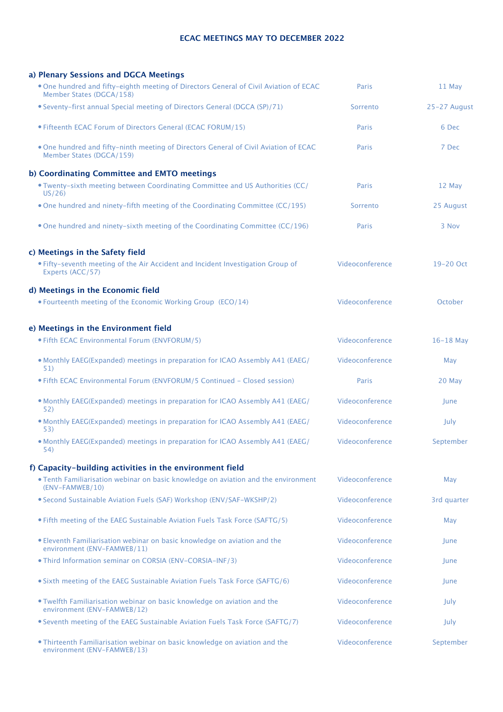#### **ECAC MEETINGS MAY TO DECEMBER 2022**

| a) Plenary Sessions and DGCA Meetings                                                                             |                 |              |
|-------------------------------------------------------------------------------------------------------------------|-----------------|--------------|
| . One hundred and fifty-eighth meeting of Directors General of Civil Aviation of ECAC<br>Member States (DGCA/158) | <b>Paris</b>    | 11 May       |
| • Seventy-first annual Special meeting of Directors General (DGCA (SP)/71)                                        | Sorrento        | 25-27 August |
| • Fifteenth ECAC Forum of Directors General (ECAC FORUM/15)                                                       | Paris           | 6 Dec        |
| . One hundred and fifty-ninth meeting of Directors General of Civil Aviation of ECAC<br>Member States (DGCA/159)  | Paris           | 7 Dec        |
| b) Coordinating Committee and EMTO meetings                                                                       |                 |              |
| . Twenty-sixth meeting between Coordinating Committee and US Authorities (CC/<br>US/26                            | <b>Paris</b>    | 12 May       |
| . One hundred and ninety-fifth meeting of the Coordinating Committee (CC/195)                                     | Sorrento        | 25 August    |
| . One hundred and ninety-sixth meeting of the Coordinating Committee (CC/196)                                     | Paris           | 3 Nov        |
| c) Meetings in the Safety field                                                                                   |                 |              |
| • Fifty-seventh meeting of the Air Accident and Incident Investigation Group of<br>Experts (ACC/57)               | Videoconference | 19-20 Oct    |
| d) Meetings in the Economic field                                                                                 |                 |              |
| • Fourteenth meeting of the Economic Working Group (ECO/14)                                                       | Videoconference | October      |
| e) Meetings in the Environment field                                                                              |                 |              |
| • Fifth ECAC Environmental Forum (ENVFORUM/5)                                                                     | Videoconference | $16-18$ May  |
| . Monthly EAEG(Expanded) meetings in preparation for ICAO Assembly A41 (EAEG/<br>51)                              | Videoconference | May          |
| • Fifth ECAC Environmental Forum (ENVFORUM/5 Continued - Closed session)                                          | <b>Paris</b>    | 20 May       |
| . Monthly EAEG(Expanded) meetings in preparation for ICAO Assembly A41 (EAEG/<br>52)                              | Videoconference | June         |
| . Monthly EAEG(Expanded) meetings in preparation for ICAO Assembly A41 (EAEG/<br>53)                              | Videoconference | July         |
| . Monthly EAEG(Expanded) meetings in preparation for ICAO Assembly A41 (EAEG/<br>54)                              | Videoconference | September    |
| f) Capacity-building activities in the environment field                                                          |                 |              |
| . Tenth Familiarisation webinar on basic knowledge on aviation and the environment<br>(ENV-FAMWEB/10)             | Videoconference | May          |
| • Second Sustainable Aviation Fuels (SAF) Workshop (ENV/SAF-WKSHP/2)                                              | Videoconference | 3rd quarter  |
| • Fifth meeting of the EAEG Sustainable Aviation Fuels Task Force (SAFTG/5)                                       | Videoconference | May          |
| • Eleventh Familiarisation webinar on basic knowledge on aviation and the<br>environment (ENV-FAMWEB/11)          | Videoconference | June         |
| • Third Information seminar on CORSIA (ENV-CORSIA-INF/3)                                                          | Videoconference | June         |
| • Sixth meeting of the EAEG Sustainable Aviation Fuels Task Force (SAFTG/6)                                       | Videoconference | June         |
| . Twelfth Familiarisation webinar on basic knowledge on aviation and the<br>environment (ENV-FAMWEB/12)           | Videoconference | July         |
| • Seventh meeting of the EAEG Sustainable Aviation Fuels Task Force (SAFTG/7)                                     | Videoconference | July         |
| . Thirteenth Familiarisation webinar on basic knowledge on aviation and the<br>environment (ENV-FAMWEB/13)        | Videoconference | September    |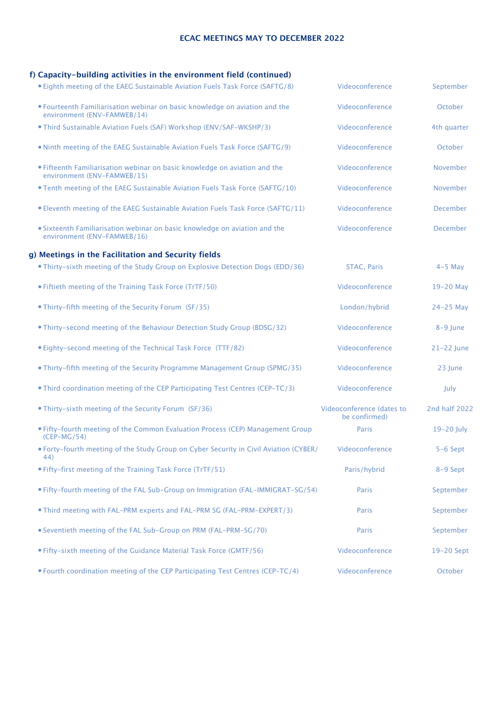### **ECAC MEETINGS MAY TO DECEMBER 2022**

# **f) Capacity-building activities in the environment field (continued)**

| • Eighth meeting of the EAEG Sustainable Aviation Fuels Task Force (SAFTG/8)                               | Videoconference                            | September       |
|------------------------------------------------------------------------------------------------------------|--------------------------------------------|-----------------|
| . Fourteenth Familiarisation webinar on basic knowledge on aviation and the<br>environment (ENV-FAMWEB/14) | Videoconference                            | October         |
| . Third Sustainable Aviation Fuels (SAF) Workshop (ENV/SAF-WKSHP/3)                                        | Videoconference                            | 4th quarter     |
| . Ninth meeting of the EAEG Sustainable Aviation Fuels Task Force (SAFTG/9)                                | Videoconference                            | October         |
| • Fifteenth Familiarisation webinar on basic knowledge on aviation and the<br>environment (ENV-FAMWEB/15)  | Videoconference                            | November        |
| . Tenth meeting of the EAEG Sustainable Aviation Fuels Task Force (SAFTG/10)                               | Videoconference                            | November        |
| • Eleventh meeting of the EAEG Sustainable Aviation Fuels Task Force (SAFTG/11)                            | Videoconference                            | <b>December</b> |
| · Sixteenth Familiarisation webinar on basic knowledge on aviation and the<br>environment (ENV-FAMWEB/16)  | Videoconference                            | <b>December</b> |
| g) Meetings in the Facilitation and Security fields                                                        |                                            |                 |
| . Thirty-sixth meeting of the Study Group on Explosive Detection Dogs (EDD/36)                             | <b>STAC, Paris</b>                         | $4-5$ Mav       |
| • Fiftieth meeting of the Training Task Force (TrTF/50)                                                    | Videoconference                            | 19-20 May       |
| • Thirty-fifth meeting of the Security Forum (SF/35)                                                       | London/hybrid                              | $24-25$ May     |
| . Thirty-second meeting of the Behaviour Detection Study Group (BDSG/32)                                   | Videoconference                            | 8-9 June        |
| • Eighty-second meeting of the Technical Task Force (TTF/82)                                               | Videoconference                            | 21-22 June      |
| • Thirty-fifth meeting of the Security Programme Management Group (SPMG/35)                                | Videoconference                            | 23 June         |
| • Third coordination meeting of the CEP Participating Test Centres (CEP-TC/3)                              | Videoconference                            | July            |
| • Thirty-sixth meeting of the Security Forum (SF/36)                                                       | Videoconference (dates to<br>be confirmed) | 2nd half 2022   |
| . Fifty-fourth meeting of the Common Evaluation Process (CEP) Management Group<br>$(CEP-MG/54)$            | Paris                                      | 19-20 July      |
| . Forty-fourth meeting of the Study Group on Cyber Security in Civil Aviation (CYBER/<br>44)               | Videoconference                            | $5-6$ Sept      |
| • Fifty-first meeting of the Training Task Force (TrTF/51)                                                 | Paris/hybrid                               | 8-9 Sept        |
| . Fifty-fourth meeting of the FAL Sub-Group on Immigration (FAL-IMMIGRAT-SG/54)                            | Paris                                      | September       |
| . Third meeting with FAL-PRM experts and FAL-PRM SG (FAL-PRM-EXPERT/3)                                     | Paris                                      | September       |
| • Seventieth meeting of the FAL Sub-Group on PRM (FAL-PRM-SG/70)                                           | Paris                                      | September       |
| • Fifty-sixth meeting of the Guidance Material Task Force (GMTF/56)                                        | Videoconference                            | 19-20 Sept      |
| • Fourth coordination meeting of the CEP Participating Test Centres (CEP-TC/4)                             | Videoconference                            | October         |